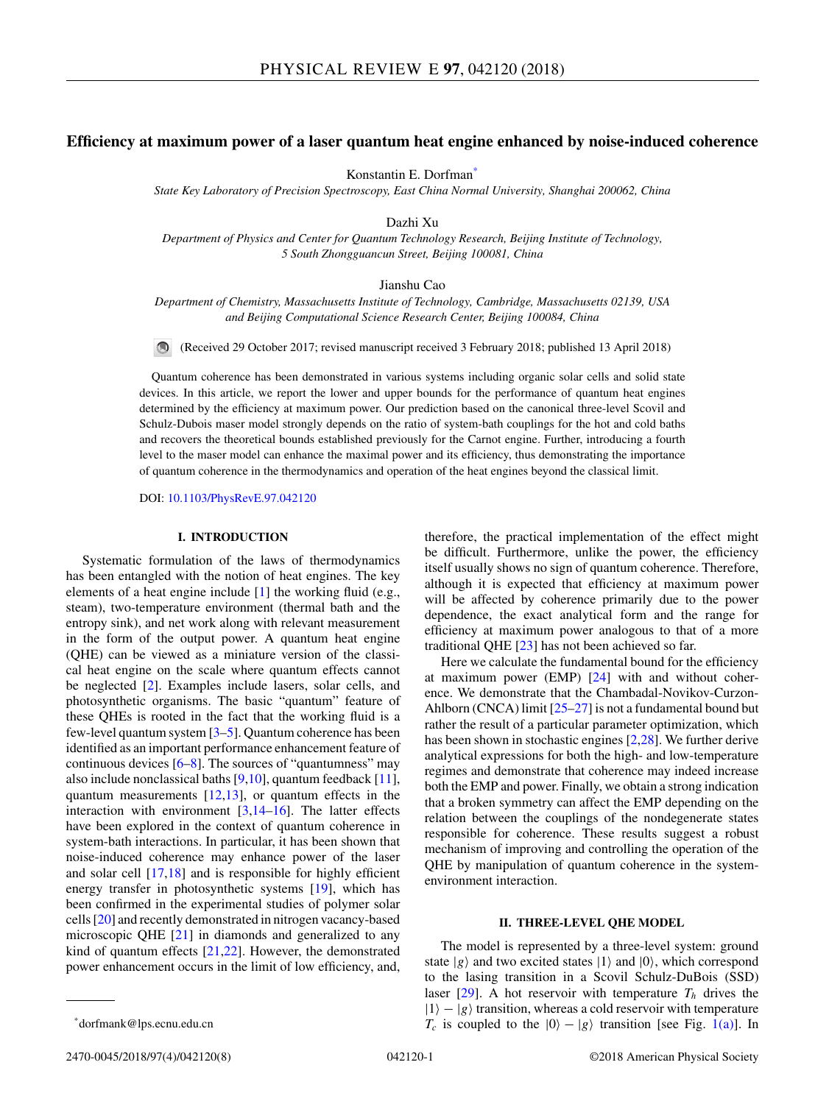# **Efficiency at maximum power of a laser quantum heat engine enhanced by noise-induced coherence**

Konstantin E. Dorfman\*

*State Key Laboratory of Precision Spectroscopy, East China Normal University, Shanghai 200062, China*

Dazhi Xu

*Department of Physics and Center for Quantum Technology Research, Beijing Institute of Technology, 5 South Zhongguancun Street, Beijing 100081, China*

Jianshu Cao

*Department of Chemistry, Massachusetts Institute of Technology, Cambridge, Massachusetts 02139, USA and Beijing Computational Science Research Center, Beijing 100084, China*

(Received 29 October 2017; revised manuscript received 3 February 2018; published 13 April 2018)

Quantum coherence has been demonstrated in various systems including organic solar cells and solid state devices. In this article, we report the lower and upper bounds for the performance of quantum heat engines determined by the efficiency at maximum power. Our prediction based on the canonical three-level Scovil and Schulz-Dubois maser model strongly depends on the ratio of system-bath couplings for the hot and cold baths and recovers the theoretical bounds established previously for the Carnot engine. Further, introducing a fourth level to the maser model can enhance the maximal power and its efficiency, thus demonstrating the importance of quantum coherence in the thermodynamics and operation of the heat engines beyond the classical limit.

DOI: [10.1103/PhysRevE.97.042120](https://doi.org/10.1103/PhysRevE.97.042120)

#### **I. INTRODUCTION**

Systematic formulation of the laws of thermodynamics has been entangled with the notion of heat engines. The key elements of a heat engine include  $[1]$  the working fluid (e.g., steam), two-temperature environment (thermal bath and the entropy sink), and net work along with relevant measurement in the form of the output power. A quantum heat engine (QHE) can be viewed as a miniature version of the classical heat engine on the scale where quantum effects cannot be neglected [\[2\]](#page-7-0). Examples include lasers, solar cells, and photosynthetic organisms. The basic "quantum" feature of these QHEs is rooted in the fact that the working fluid is a few-level quantum system [\[3–5\]](#page-7-0). Quantum coherence has been identified as an important performance enhancement feature of continuous devices  $[6–8]$ . The sources of "quantumness" may also include nonclassical baths  $[9,10]$ , quantum feedback  $[11]$ , quantum measurements  $[12,13]$ , or quantum effects in the interaction with environment [\[3,14–16\]](#page-7-0). The latter effects have been explored in the context of quantum coherence in system-bath interactions. In particular, it has been shown that noise-induced coherence may enhance power of the laser and solar cell [\[17,18\]](#page-7-0) and is responsible for highly efficient energy transfer in photosynthetic systems [\[19\]](#page-7-0), which has been confirmed in the experimental studies of polymer solar cells [\[20\]](#page-7-0) and recently demonstrated in nitrogen vacancy-based microscopic QHE [\[21\]](#page-7-0) in diamonds and generalized to any kind of quantum effects [\[21,22\]](#page-7-0). However, the demonstrated power enhancement occurs in the limit of low efficiency, and,

Here we calculate the fundamental bound for the efficiency at maximum power (EMP) [\[24\]](#page-7-0) with and without coherence. We demonstrate that the Chambadal-Novikov-Curzon-Ahlborn (CNCA) limit [\[25–27\]](#page-7-0) is not a fundamental bound but rather the result of a particular parameter optimization, which has been shown in stochastic engines [\[2,28\]](#page-7-0). We further derive analytical expressions for both the high- and low-temperature regimes and demonstrate that coherence may indeed increase both the EMP and power. Finally, we obtain a strong indication that a broken symmetry can affect the EMP depending on the relation between the couplings of the nondegenerate states responsible for coherence. These results suggest a robust mechanism of improving and controlling the operation of the QHE by manipulation of quantum coherence in the systemenvironment interaction.

#### **II. THREE-LEVEL QHE MODEL**

The model is represented by a three-level system: ground state  $|g\rangle$  and two excited states  $|1\rangle$  and  $|0\rangle$ , which correspond to the lasing transition in a Scovil Schulz-DuBois (SSD) laser  $[29]$ . A hot reservoir with temperature  $T<sub>h</sub>$  drives the  $|1\rangle - |g\rangle$  transition, whereas a cold reservoir with temperature  $T_c$  is coupled to the  $|0\rangle - |g\rangle$  transition [see Fig. [1\(a\)\]](#page-1-0). In

therefore, the practical implementation of the effect might be difficult. Furthermore, unlike the power, the efficiency itself usually shows no sign of quantum coherence. Therefore, although it is expected that efficiency at maximum power will be affected by coherence primarily due to the power dependence, the exact analytical form and the range for efficiency at maximum power analogous to that of a more traditional QHE [\[23\]](#page-7-0) has not been achieved so far.

<sup>\*</sup>dorfmank@lps.ecnu.edu.cn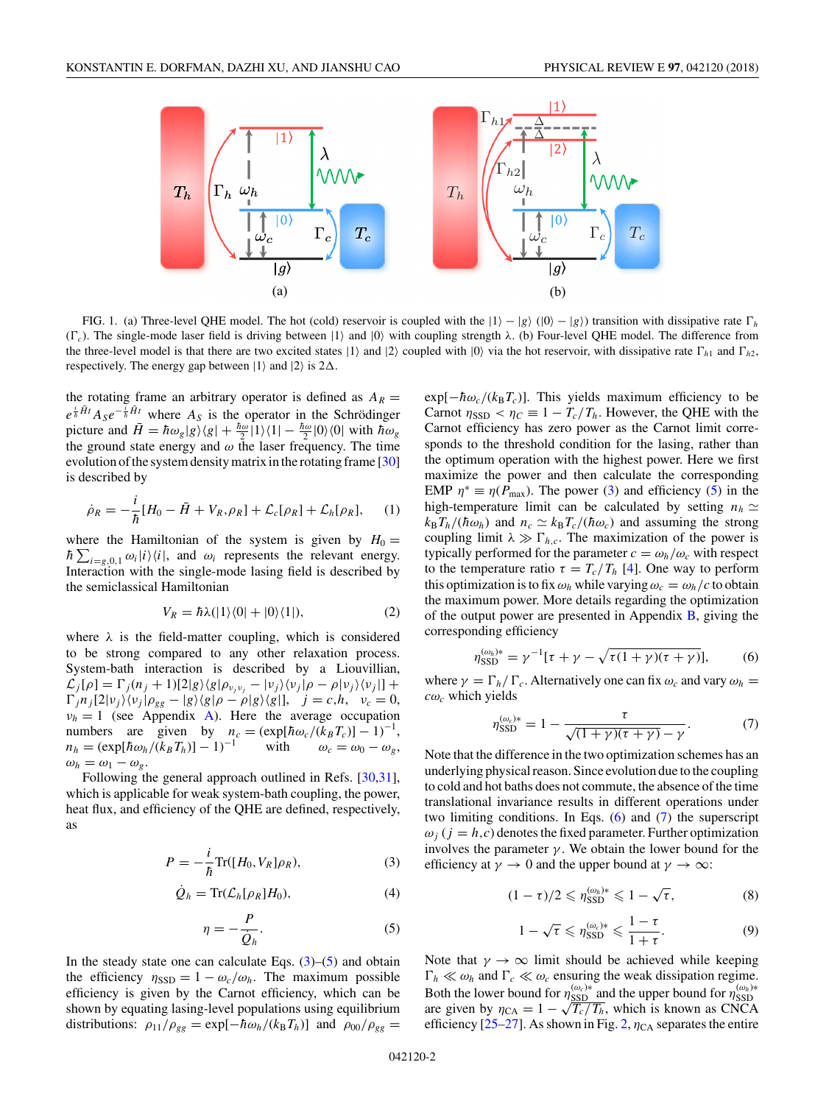<span id="page-1-0"></span>

FIG. 1. (a) Three-level QHE model. The hot (cold) reservoir is coupled with the  $|1\rangle - |g\rangle$  ( $|0\rangle - |g\rangle$ ) transition with dissipative rate  $\Gamma_h$  $(\Gamma_c)$ . The single-mode laser field is driving between  $|1\rangle$  and  $|0\rangle$  with coupling strength  $\lambda$ . (b) Four-level QHE model. The difference from the three-level model is that there are two excited states  $|1\rangle$  and  $|2\rangle$  coupled with  $|0\rangle$  via the hot reservoir, with dissipative rate  $\Gamma_{h1}$  and  $\Gamma_{h2}$ , respectively. The energy gap between  $|1\rangle$  and  $|2\rangle$  is  $2\Delta$ .

the rotating frame an arbitrary operator is defined as  $A_R =$  $e^{\frac{i}{\hbar}\vec{H}t}A_{S}e^{-\frac{i}{\hbar}\vec{H}t}$  where  $A_{S}$  is the operator in the Schrödinger picture and  $\bar{H} = \hbar \omega_g |g\rangle\langle g| + \frac{\hbar \omega}{2} |1\rangle\langle 1| - \frac{\hbar \omega}{2} |0\rangle\langle 0|$  with  $\hbar \omega_g$ the ground state energy and  $\omega$  the laser frequency. The time evolution of the system density matrix in the rotating frame [\[30\]](#page-7-0) is described by

$$
\dot{\rho}_R = -\frac{i}{\hbar} [H_0 - \bar{H} + V_R, \rho_R] + \mathcal{L}_c[\rho_R] + \mathcal{L}_h[\rho_R], \quad (1)
$$

where the Hamiltonian of the system is given by  $H_0 =$  $\hbar \sum_{i=g,0,1} \omega_i |i\rangle\langle i|$ , and  $\omega_i$  represents the relevant energy. Interaction with the single-mode lasing field is described by the semiclassical Hamiltonian

$$
V_R = \hbar \lambda (|1\rangle \langle 0| + |0\rangle \langle 1|), \tag{2}
$$

where *λ* is the field-matter coupling, which is considered to be strong compared to any other relaxation process. System-bath interaction is described by a Liouvillian,  $\mathcal{L}_j[\rho] = \Gamma_j(n_j + 1)[2|g\rangle\langle g|\rho_{v_jv_j} - |v_j\rangle\langle v_j|\rho - \rho|v_j\rangle\langle v_j|] +$  $\int_{a}^{b} \int_{a}^{b} \frac{1}{2} |v_j\rangle \langle v_j| \rho_{gg} - |g\rangle \langle g|\rho - \rho|g\rangle \langle g|], \quad j = c, h, \quad v_c = 0,$  $\nu_h = 1$  (see Appendix [A\)](#page-4-0). Here the average occupation numbers are given by  $n_c = (\exp[\hbar \omega_c/(k_B T_c)] - 1)^{-1}$ ,<br>  $n_h = (\exp[\hbar \omega_h/(k_B T_h)] - 1)^{-1}$  with  $\omega_c = \omega_0 - \omega_g$ ,  $n_h = \frac{\exp[\hbar \omega_h / (\kappa_B T_h)] - 1}{\hbar \omega_h}$  $\omega_h = \omega_1 - \omega_g$ .

Following the general approach outlined in Refs. [\[30,31\]](#page-7-0), which is applicable for weak system-bath coupling, the power, heat flux, and efficiency of the QHE are defined, respectively, as

$$
P = -\frac{i}{\hbar} \text{Tr}([H_0, V_R] \rho_R), \tag{3}
$$

$$
\dot{Q}_h = \text{Tr}(\mathcal{L}_h[\rho_R]H_0),\tag{4}
$$

$$
\eta = -\frac{P}{\dot{Q}_h}.\tag{5}
$$

In the steady state one can calculate Eqs.  $(3)$ – $(5)$  and obtain the efficiency  $\eta_{\text{SSD}} = 1 - \omega_c/\omega_h$ . The maximum possible efficiency is given by the Carnot efficiency, which can be shown by equating lasing-level populations using equilibrium distributions:  $\rho_{11}/\rho_{gg} = \exp[-\hbar\omega_h/(k_B T_h)]$  and  $\rho_{00}/\rho_{gg} =$   $\exp[-\hbar\omega_c/(k_B T_c)]$ . This yields maximum efficiency to be Carnot  $\eta_{\text{SSD}} < \eta_C \equiv 1 - T_c/T_h$ . However, the QHE with the Carnot efficiency has zero power as the Carnot limit corresponds to the threshold condition for the lasing, rather than the optimum operation with the highest power. Here we first maximize the power and then calculate the corresponding EMP  $\eta^* \equiv \eta(P_{\text{max}})$ . The power (3) and efficiency (5) in the high-temperature limit can be calculated by setting  $n_h \simeq$  $k_B T_h/(\hbar \omega_h)$  and  $n_c \simeq k_B T_c/(\hbar \omega_c)$  and assuming the strong coupling limit  $\lambda \gg \Gamma_{h,c}$ . The maximization of the power is typically performed for the parameter  $c = \omega_h / \omega_c$  with respect to the temperature ratio  $\tau = T_c/T_h$  [\[4\]](#page-7-0). One way to perform this optimization is to fix  $\omega_h$  while varying  $\omega_c = \omega_h/c$  to obtain the maximum power. More details regarding the optimization of the output power are presented in Appendix [B,](#page-5-0) giving the corresponding efficiency

$$
\eta_{\text{SSD}}^{(\omega_h)*} = \gamma^{-1} [\tau + \gamma - \sqrt{\tau (1 + \gamma)(\tau + \gamma)}],\tag{6}
$$

where  $\gamma = \Gamma_h / \Gamma_c$ . Alternatively one can fix  $\omega_c$  and vary  $\omega_h$  $c\omega_c$  which yields

$$
\eta_{\text{SSD}}^{(\omega_c)*} = 1 - \frac{\tau}{\sqrt{(1+\gamma)(\tau+\gamma)} - \gamma}.
$$
 (7)

Note that the difference in the two optimization schemes has an underlying physical reason. Since evolution due to the coupling to cold and hot baths does not commute, the absence of the time translational invariance results in different operations under two limiting conditions. In Eqs.  $(6)$  and  $(7)$  the superscript  $\omega_i$  ( $j = h, c$ ) denotes the fixed parameter. Further optimization involves the parameter  $\gamma$ . We obtain the lower bound for the efficiency at  $\gamma \to 0$  and the upper bound at  $\gamma \to \infty$ :

$$
(1-\tau)/2 \leqslant \eta_{\mathrm{SSD}}^{(\omega_h)*} \leqslant 1-\sqrt{\tau},\tag{8}
$$

$$
1 - \sqrt{\tau} \leqslant \eta_{\text{SSD}}^{(\omega_c)*} \leqslant \frac{1 - \tau}{1 + \tau}.\tag{9}
$$

Note that  $\gamma \to \infty$  limit should be achieved while keeping  $\Gamma_h \ll \omega_h$  and  $\Gamma_c \ll \omega_c$  ensuring the weak dissipation regime. Both the lower bound for  $\eta_{\text{SSD}}^{(\omega_c)*}$  and the upper bound for  $\eta_{\text{SSD}}^{(\omega_h)*}$ are given by  $\eta_{\text{CA}} = 1 - \sqrt{T_c/T_h}$ , which is known as CNCA efficiency  $[25-27]$ . As shown in Fig. [2,](#page-2-0)  $\eta_{CA}$  separates the entire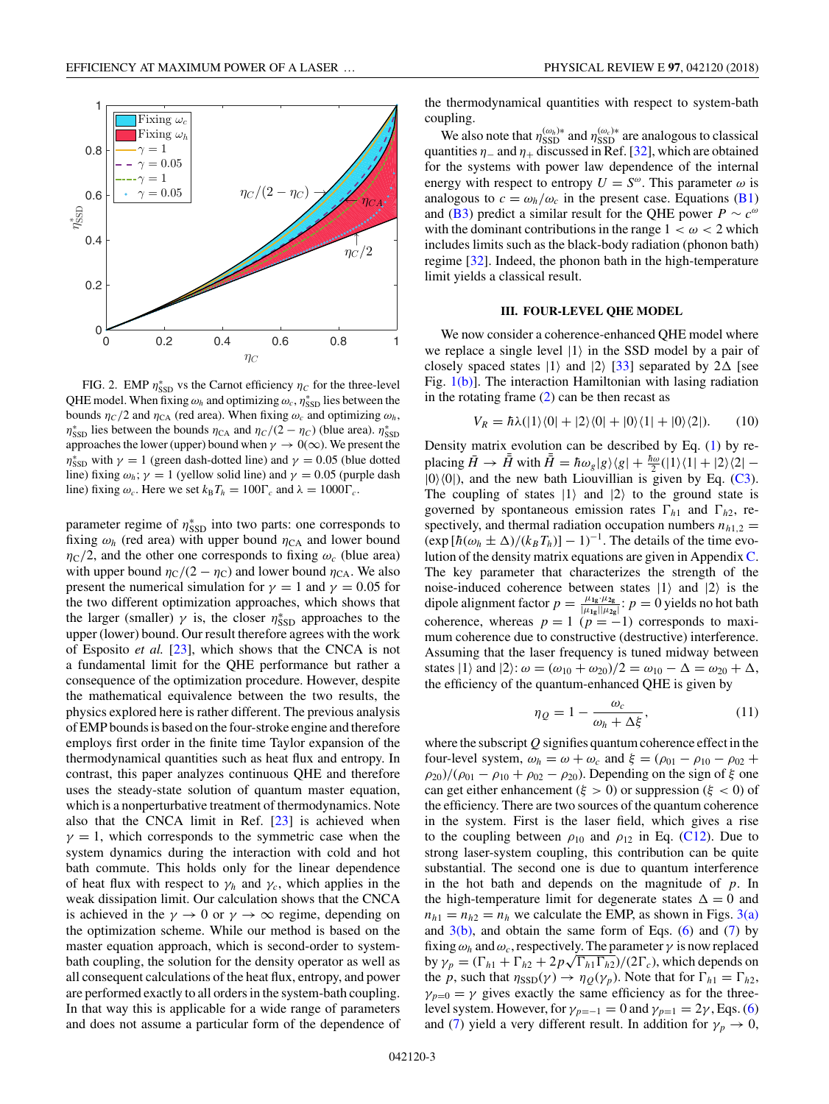<span id="page-2-0"></span>

FIG. 2. EMP  $\eta_{\text{SSD}}^*$  vs the Carnot efficiency  $\eta_C$  for the three-level QHE model. When fixing  $\omega_h$  and optimizing  $\omega_c$ ,  $\eta_{\rm SSD}^*$  lies between the bounds  $\eta_C/2$  and  $\eta_{CA}$  (red area). When fixing  $\omega_c$  and optimizing  $\omega_h$ ,  $\eta_{\text{SSD}}^*$  lies between the bounds  $\eta_{\text{CA}}$  and  $\eta_C/(2 - \eta_C)$  (blue area).  $\eta_{\text{SSD}}^*$ approaches the lower (upper) bound when  $\gamma \to 0(\infty)$ . We present the *η*<sup>\*</sup><sub>SSD</sub> with *γ* = 1 (green dash-dotted line) and *γ* = 0.05 (blue dotted line) fixing  $\omega_h$ ;  $\gamma = 1$  (yellow solid line) and  $\gamma = 0.05$  (purple dash line) fixing  $\omega_c$ . Here we set  $k_B T_h = 100 \Gamma_c$  and  $\lambda = 1000 \Gamma_c$ .

parameter regime of  $η^*_{SSD}$  into two parts: one corresponds to fixing  $\omega_h$  (red area) with upper bound  $\eta_{CA}$  and lower bound  $\eta_{\rm C}/2$ , and the other one corresponds to fixing  $\omega_c$  (blue area) with upper bound  $\eta_C/(2 - \eta_C)$  and lower bound  $\eta_{CA}$ . We also present the numerical simulation for  $\gamma = 1$  and  $\gamma = 0.05$  for the two different optimization approaches, which shows that the larger (smaller)  $\gamma$  is, the closer  $\eta_{\text{SSD}}^*$  approaches to the upper (lower) bound. Our result therefore agrees with the work of Esposito *et al.* [\[23\]](#page-7-0), which shows that the CNCA is not a fundamental limit for the QHE performance but rather a consequence of the optimization procedure. However, despite the mathematical equivalence between the two results, the physics explored here is rather different. The previous analysis of EMP bounds is based on the four-stroke engine and therefore employs first order in the finite time Taylor expansion of the thermodynamical quantities such as heat flux and entropy. In contrast, this paper analyzes continuous QHE and therefore uses the steady-state solution of quantum master equation, which is a nonperturbative treatment of thermodynamics. Note also that the CNCA limit in Ref. [\[23\]](#page-7-0) is achieved when  $\gamma = 1$ , which corresponds to the symmetric case when the system dynamics during the interaction with cold and hot bath commute. This holds only for the linear dependence of heat flux with respect to  $\gamma_h$  and  $\gamma_c$ , which applies in the weak dissipation limit. Our calculation shows that the CNCA is achieved in the  $\gamma \to 0$  or  $\gamma \to \infty$  regime, depending on the optimization scheme. While our method is based on the master equation approach, which is second-order to systembath coupling, the solution for the density operator as well as all consequent calculations of the heat flux, entropy, and power are performed exactly to all orders in the system-bath coupling. In that way this is applicable for a wide range of parameters and does not assume a particular form of the dependence of the thermodynamical quantities with respect to system-bath coupling.

We also note that  $\eta_{\mathrm{SSD}}^{(\omega_h)*}$  and  $\eta_{\mathrm{SSD}}^{(\omega_c)*}$  are analogous to classical quantities  $\eta$ <sub>−</sub> and  $\eta$ <sub>+</sub> discussed in Ref. [\[32\]](#page-7-0), which are obtained for the systems with power law dependence of the internal energy with respect to entropy  $U = S^{\omega}$ . This parameter  $\omega$  is analogous to  $c = \omega_h/\omega_c$  in the present case. Equations [\(B1\)](#page-5-0) and [\(B3\)](#page-5-0) predict a similar result for the QHE power  $P \sim c^{\omega}$ with the dominant contributions in the range  $1 < \omega < 2$  which includes limits such as the black-body radiation (phonon bath) regime [\[32\]](#page-7-0). Indeed, the phonon bath in the high-temperature limit yields a classical result.

# **III. FOUR-LEVEL QHE MODEL**

We now consider a coherence-enhanced QHE model where we replace a single level  $|1\rangle$  in the SSD model by a pair of closely spaced states  $|1\rangle$  and  $|2\rangle$  [\[33\]](#page-7-0) separated by  $2\Delta$  [see Fig.  $1(b)$ ]. The interaction Hamiltonian with lasing radiation in the rotating frame  $(2)$  can be then recast as

$$
V_R = \hbar \lambda (|1\rangle \langle 0| + |2\rangle \langle 0| + |0\rangle \langle 1| + |0\rangle \langle 2|). \tag{10}
$$

Density matrix evolution can be described by Eq. [\(1\)](#page-1-0) by replacing  $\bar{H} \to \bar{H}$  with  $\bar{H} = \hbar \omega_g |g\rangle\langle g| + \frac{\hbar \omega}{2} (|1\rangle\langle 1| + |2\rangle\langle 2| |0\rangle\langle 0|$ , and the new bath Liouvillian is given by Eq. [\(C3\)](#page-6-0). The coupling of states  $|1\rangle$  and  $|2\rangle$  to the ground state is governed by spontaneous emission rates  $\Gamma_{h1}$  and  $\Gamma_{h2}$ , respectively, and thermal radiation occupation numbers  $n_{h1,2}$  =  $(\exp [h(\omega_h \pm \Delta)/(k_B T_h)] - 1)^{-1}$ . The details of the time evolution of the density matrix equations are given in Appendix [C.](#page-5-0) The key parameter that characterizes the strength of the noise-induced coherence between states  $|1\rangle$  and  $|2\rangle$  is the dipole alignment factor  $p = \frac{\mu_{1g} \mu_{2g}}{|\mu_{1g}||\mu_{2g}|}$ :  $p = 0$  yields no hot bath coherence, whereas  $p = 1$  ( $p = -1$ ) corresponds to maximum coherence due to constructive (destructive) interference. Assuming that the laser frequency is tuned midway between states  $|1\rangle$  and  $|2\rangle$ :  $\omega = (\omega_{10} + \omega_{20})/2 = \omega_{10} - \Delta = \omega_{20} + \Delta$ , the efficiency of the quantum-enhanced QHE is given by

$$
\eta_Q = 1 - \frac{\omega_c}{\omega_h + \Delta \xi},\tag{11}
$$

where the subscript *Q* signifies quantum coherence effect in the four-level system,  $\omega_h = \omega + \omega_c$  and  $\xi = (\rho_{01} - \rho_{10} - \rho_{02} + \rho_{01})$ *ρ*<sub>20</sub>)/( $\rho_{01} - \rho_{10} + \rho_{02} - \rho_{20}$ ). Depending on the sign of *ξ* one can get either enhancement (*ξ >* 0) or suppression (*ξ <* 0) of the efficiency. There are two sources of the quantum coherence in the system. First is the laser field, which gives a rise to the coupling between  $\rho_{10}$  and  $\rho_{12}$  in Eq. [\(C12\)](#page-6-0). Due to strong laser-system coupling, this contribution can be quite substantial. The second one is due to quantum interference in the hot bath and depends on the magnitude of *p*. In the high-temperature limit for degenerate states  $\Delta = 0$  and  $n_{h1} = n_{h2} = n_h$  we calculate the EMP, as shown in Figs. [3\(a\)](#page-3-0) and  $3(b)$ , and obtain the same form of Eqs. [\(6\)](#page-1-0) and [\(7\)](#page-1-0) by fixing  $\omega_h$  and  $\omega_c$ , respectively. The parameter  $\gamma$  is now replaced  $\frac{1}{\gamma}$  by  $\gamma_p = (\Gamma_{h1} + \Gamma_{h2} + 2p\sqrt{\Gamma_{h1}\Gamma_{h2}})/(2\Gamma_c)$ , which depends on the *p*, such that  $\eta_{\text{SSD}}(\gamma) \to \eta_{Q}(\gamma_{p})$ . Note that for  $\Gamma_{h1} = \Gamma_{h2}$ ,  $\gamma_{p=0} = \gamma$  gives exactly the same efficiency as for the threelevel system. However, for  $\gamma_{p=-1} = 0$  and  $\gamma_{p=1} = 2\gamma$ , Eqs. [\(6\)](#page-1-0) and [\(7\)](#page-1-0) yield a very different result. In addition for  $\gamma_p \to 0$ ,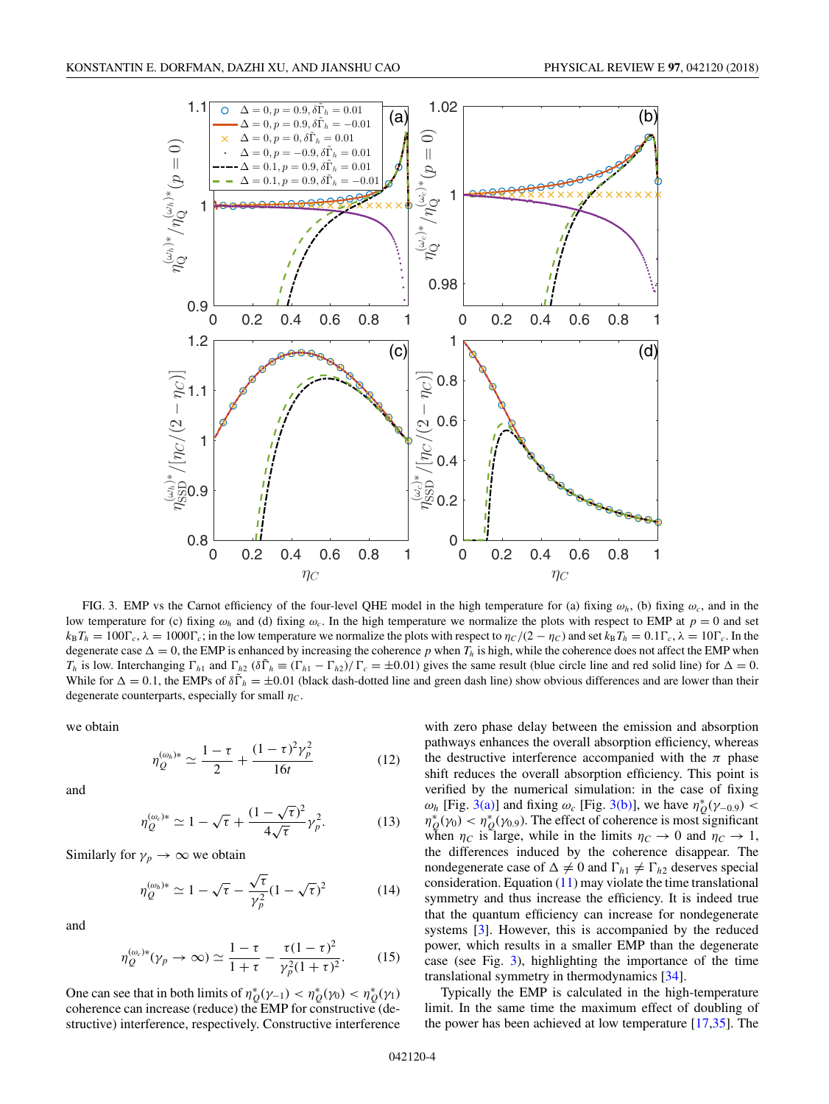<span id="page-3-0"></span>

FIG. 3. EMP vs the Carnot efficiency of the four-level QHE model in the high temperature for (a) fixing  $\omega_h$ , (b) fixing  $\omega_c$ , and in the low temperature for (c) fixing  $\omega_h$  and (d) fixing  $\omega_c$ . In the high temperature we normalize the plots with respect to EMP at  $p = 0$  and set  $k_B T_h = 100 \Gamma_c$ ,  $\lambda = 1000 \Gamma_c$ ; in the low temperature we normalize the plots with respect to  $\eta_C/(2 - \eta_C)$  and set  $k_B T_h = 0.1 \Gamma_c$ ,  $\lambda = 10 \Gamma_c$ . In the degenerate case  $\Delta = 0$ , the EMP is enhanced by increasing the coherence p when  $T_h$  is high, while the coherence does not affect the EMP when  $T_h$  is low. Interchanging  $\Gamma_{h1}$  and  $\Gamma_{h2}$  ( $\delta \tilde{\Gamma}_h \equiv (\Gamma_{h1} - \Gamma_{h2})/\Gamma_c = \pm 0.01$ ) gives the same result (blue circle line and red solid line) for  $\Delta = 0$ . While for  $\Delta = 0.1$ , the EMPs of  $\delta \tilde{\Gamma}_h = \pm 0.01$  (black dash-dotted line and green dash line) show obvious differences and are lower than their degenerate counterparts, especially for small  $\eta_c$ .

we obtain

$$
\eta_{Q}^{(\omega_{h})*} \simeq \frac{1-\tau}{2} + \frac{(1-\tau)^{2}\gamma_{p}^{2}}{16t}
$$
 (12)

and

$$
\eta_Q^{(\omega_c)*} \simeq 1 - \sqrt{\tau} + \frac{(1 - \sqrt{\tau})^2}{4\sqrt{\tau}} \gamma_p^2. \tag{13}
$$

Similarly for  $\gamma_p \to \infty$  we obtain

$$
\eta_Q^{(\omega_h)*} \simeq 1 - \sqrt{\tau} - \frac{\sqrt{\tau}}{\gamma_p^2} (1 - \sqrt{\tau})^2 \tag{14}
$$

and

$$
\eta_Q^{(\omega_c)*}(\gamma_p \to \infty) \simeq \frac{1-\tau}{1+\tau} - \frac{\tau(1-\tau)^2}{\gamma_p^2(1+\tau)^2}.
$$
 (15)

One can see that in both limits of  $\eta_{Q}^{*}(\gamma_{-1}) < \eta_{Q}^{*}(\gamma_{0}) < \eta_{Q}^{*}(\gamma_{1})$ coherence can increase (reduce) the EMP for constructive (destructive) interference, respectively. Constructive interference

with zero phase delay between the emission and absorption pathways enhances the overall absorption efficiency, whereas the destructive interference accompanied with the  $\pi$  phase shift reduces the overall absorption efficiency. This point is verified by the numerical simulation: in the case of fixing *ω<sub>h</sub>* [Fig. 3(a)] and fixing *ω<sub>c</sub>* [Fig. 3(b)], we have  $η_Q^*(γ_{-0.9})$  <  $\eta_{Q}^{*}(\gamma_{0}) < \eta_{Q}^{*}(\gamma_{0.9})$ . The effect of coherence is most significant when  $\eta_C$  is large, while in the limits  $\eta_C \to 0$  and  $\eta_C \to 1$ , the differences induced by the coherence disappear. The nondegenerate case of  $\Delta \neq 0$  and  $\Gamma_{h1} \neq \Gamma_{h2}$  deserves special consideration. Equation  $(11)$  may violate the time translational symmetry and thus increase the efficiency. It is indeed true that the quantum efficiency can increase for nondegenerate systems [\[3\]](#page-7-0). However, this is accompanied by the reduced power, which results in a smaller EMP than the degenerate case (see Fig. 3), highlighting the importance of the time translational symmetry in thermodynamics [\[34\]](#page-7-0).

Typically the EMP is calculated in the high-temperature limit. In the same time the maximum effect of doubling of the power has been achieved at low temperature [\[17,35\]](#page-7-0). The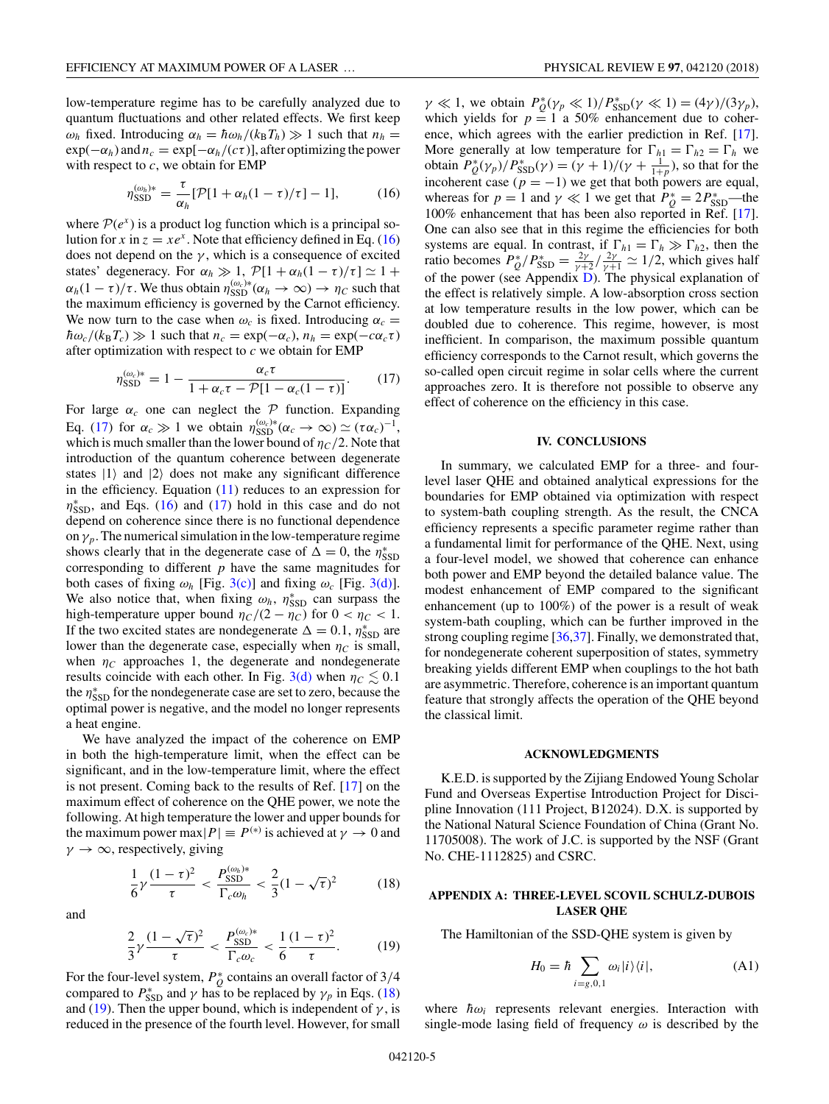<span id="page-4-0"></span>low-temperature regime has to be carefully analyzed due to quantum fluctuations and other related effects. We first keep *ω<sub>h</sub>* fixed. Introducing  $\alpha_h = \hbar \omega_h / (k_B T_h) \gg 1$  such that  $n_h =$  $\exp(-\alpha_h)$  and  $n_c = \exp[-\alpha_h/(c\tau)]$ , after optimizing the power with respect to *c*, we obtain for EMP

$$
\eta_{\text{SSD}}^{(\omega_h)*} = \frac{\tau}{\alpha_h} [\mathcal{P}[1 + \alpha_h(1 - \tau)/\tau] - 1], \quad (16)
$$

where  $\mathcal{P}(e^x)$  is a product log function which is a principal solution for *x* in  $z = xe^x$ . Note that efficiency defined in Eq. (16) does not depend on the  $\gamma$ , which is a consequence of excited states' degeneracy. For  $\alpha_h \gg 1$ ,  $\mathcal{P}[1 + \alpha_h(1 - \tau)/\tau] \simeq 1 +$  $\alpha_h(1-\tau)/\tau$ . We thus obtain  $\eta_{\text{SSD}}^{(\omega_c)*}(\alpha_h \to \infty) \to \eta_c$  such that the maximum efficiency is governed by the Carnot efficiency. We now turn to the case when  $\omega_c$  is fixed. Introducing  $\alpha_c =$  $\hbar \omega_c / (k_B T_c) \gg 1$  such that  $n_c = \exp(-\alpha_c)$ ,  $n_h = \exp(-c\alpha_c \tau)$ after optimization with respect to *c* we obtain for EMP

$$
\eta_{\text{SSD}}^{(\omega_c)*} = 1 - \frac{\alpha_c \tau}{1 + \alpha_c \tau - \mathcal{P}[1 - \alpha_c(1 - \tau)]}.
$$
 (17)

For large  $\alpha_c$  one can neglect the  $\mathcal P$  function. Expanding Eq. (17) for  $\alpha_c \gg 1$  we obtain  $\eta_{\text{SSD}}^{(\omega_c)*}(\alpha_c \to \infty) \simeq (\tau \alpha_c)^{-1}$ , which is much smaller than the lower bound of  $\eta_C/2$ . Note that introduction of the quantum coherence between degenerate states  $|1\rangle$  and  $|2\rangle$  does not make any significant difference in the efficiency. Equation [\(11\)](#page-2-0) reduces to an expression for  $\eta_{\text{SSD}}^*$ , and Eqs. (16) and (17) hold in this case and do not depend on coherence since there is no functional dependence on  $\gamma_p$ . The numerical simulation in the low-temperature regime shows clearly that in the degenerate case of  $\Delta = 0$ , the  $\eta_{\text{SSD}}^*$ corresponding to different *p* have the same magnitudes for both cases of fixing  $\omega_h$  [Fig. [3\(c\)\]](#page-3-0) and fixing  $\omega_c$  [Fig. [3\(d\)\]](#page-3-0). We also notice that, when fixing  $\omega_h$ ,  $\eta_{\text{SSD}}^*$  can surpass the high-temperature upper bound  $\eta_C/(2 - \eta_C)$  for  $0 < \eta_C < 1$ . If the two excited states are nondegenerate  $\Delta = 0.1$ ,  $\eta_{\text{SSD}}^*$  are lower than the degenerate case, especially when  $\eta_c$  is small, when  $\eta_c$  approaches 1, the degenerate and nondegenerate results coincide with each other. In Fig. [3\(d\)](#page-3-0) when  $\eta_C \lesssim 0.1$ the *η* $<sup>*</sup>_{\rm SSD}$  for the nondegenerate case are set to zero, because the</sup> optimal power is negative, and the model no longer represents a heat engine.

We have analyzed the impact of the coherence on EMP in both the high-temperature limit, when the effect can be significant, and in the low-temperature limit, where the effect is not present. Coming back to the results of Ref. [\[17\]](#page-7-0) on the maximum effect of coherence on the QHE power, we note the following. At high temperature the lower and upper bounds for the maximum power max $|P| \equiv P^{(*)}$  is achieved at  $\gamma \to 0$  and  $\gamma \to \infty$ , respectively, giving

$$
\frac{1}{6}\gamma \frac{(1-\tau)^2}{\tau} < \frac{P_{\text{SSD}}^{(\omega_h)*}}{\Gamma_c \omega_h} < \frac{2}{3}(1-\sqrt{\tau})^2 \tag{18}
$$

and

$$
\frac{2}{3}\gamma \frac{(1-\sqrt{\tau})^2}{\tau} < \frac{P_{\text{SSD}}^{(\omega_c)*}}{\Gamma_c \omega_c} < \frac{1}{6} \frac{(1-\tau)^2}{\tau}.\tag{19}
$$

For the four-level system,  $P_Q^*$  contains an overall factor of 3/4 compared to  $P_{\text{SSD}}^*$  and  $\gamma$  has to be replaced by  $\gamma_p$  in Eqs. (18) and (19). Then the upper bound, which is independent of  $\gamma$ , is reduced in the presence of the fourth level. However, for small

 $\gamma \ll 1$ , we obtain  $P_Q^*(\gamma_p \ll 1)/P_{\text{SSD}}^*(\gamma \ll 1) = (4\gamma)/(3\gamma_p)$ , which yields for  $p = 1$  a 50% enhancement due to coherence, which agrees with the earlier prediction in Ref. [\[17\]](#page-7-0). More generally at low temperature for  $\Gamma_{h1} = \Gamma_{h2} = \Gamma_h$  we obtain  $P_{Q}^{*}(\gamma_{p})/P_{\text{SSD}}^{*}(\gamma) = (\gamma + 1)/(\gamma + \frac{1}{1+p})$ , so that for the incoherent case  $(p = -1)$  we get that both powers are equal, whereas for  $p = 1$  and  $\gamma \ll 1$  we get that  $P_Q^* = 2P_{\text{SSD}}^*$ —the 100% enhancement that has been also reported in Ref. [\[17\]](#page-7-0). One can also see that in this regime the efficiencies for both systems are equal. In contrast, if  $\Gamma_{h1} = \Gamma_h \gg \Gamma_{h2}$ , then the ratio becomes  $P_{Q}^*/P_{\text{SSD}}^* = \frac{2\gamma}{\gamma+2} / \frac{2\gamma}{\gamma+1} \simeq 1/2$ , which gives half of the power (see Appendix [D\)](#page-7-0). The physical explanation of the effect is relatively simple. A low-absorption cross section at low temperature results in the low power, which can be doubled due to coherence. This regime, however, is most inefficient. In comparison, the maximum possible quantum efficiency corresponds to the Carnot result, which governs the so-called open circuit regime in solar cells where the current approaches zero. It is therefore not possible to observe any effect of coherence on the efficiency in this case.

#### **IV. CONCLUSIONS**

In summary, we calculated EMP for a three- and fourlevel laser QHE and obtained analytical expressions for the boundaries for EMP obtained via optimization with respect to system-bath coupling strength. As the result, the CNCA efficiency represents a specific parameter regime rather than a fundamental limit for performance of the QHE. Next, using a four-level model, we showed that coherence can enhance both power and EMP beyond the detailed balance value. The modest enhancement of EMP compared to the significant enhancement (up to 100%) of the power is a result of weak system-bath coupling, which can be further improved in the strong coupling regime [\[36,37\]](#page-7-0). Finally, we demonstrated that, for nondegenerate coherent superposition of states, symmetry breaking yields different EMP when couplings to the hot bath are asymmetric. Therefore, coherence is an important quantum feature that strongly affects the operation of the QHE beyond the classical limit.

#### **ACKNOWLEDGMENTS**

K.E.D. is supported by the Zijiang Endowed Young Scholar Fund and Overseas Expertise Introduction Project for Discipline Innovation (111 Project, B12024). D.X. is supported by the National Natural Science Foundation of China (Grant No. 11705008). The work of J.C. is supported by the NSF (Grant No. CHE-1112825) and CSRC.

# **APPENDIX A: THREE-LEVEL SCOVIL SCHULZ-DUBOIS LASER QHE**

The Hamiltonian of the SSD-QHE system is given by

$$
H_0 = \hbar \sum_{i=g,0,1} \omega_i |i\rangle\langle i|,\tag{A1}
$$

where  $\hbar \omega_i$  represents relevant energies. Interaction with single-mode lasing field of frequency *ω* is described by the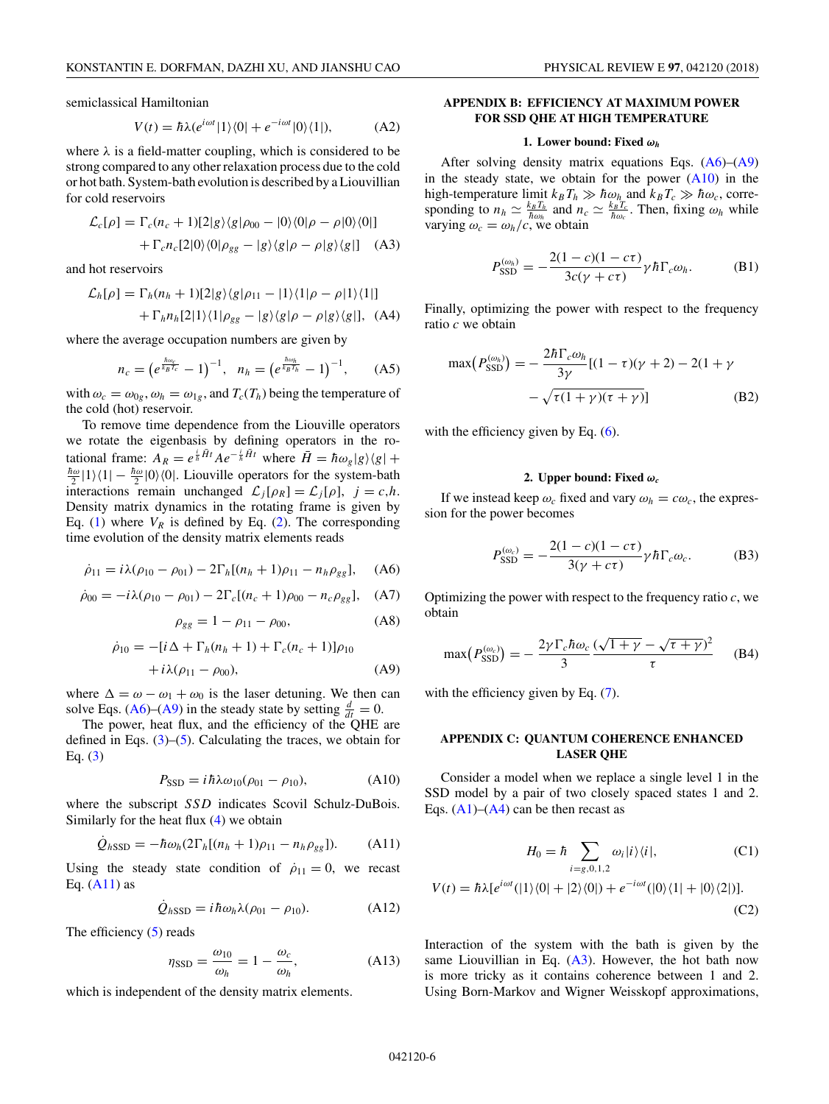$$
V(t) = \hbar \lambda (e^{i\omega t} | 1 \rangle \langle 0 | + e^{-i\omega t} | 0 \rangle \langle 1 |), \tag{A2}
$$

<span id="page-5-0"></span>where  $\lambda$  is a field-matter coupling, which is considered to be strong compared to any other relaxation process due to the cold or hot bath. System-bath evolution is described by a Liouvillian for cold reservoirs

$$
\mathcal{L}_c[\rho] = \Gamma_c(n_c + 1)[2|g\rangle\langle g|\rho_{00} - |0\rangle\langle 0|\rho - \rho|0\rangle\langle 0|]
$$

$$
+ \Gamma_c n_c[2|0\rangle\langle 0|\rho_{gg} - |g\rangle\langle g|\rho - \rho|g\rangle\langle g|] \quad (A3)
$$

and hot reservoirs

$$
\mathcal{L}_h[\rho] = \Gamma_h(n_h + 1)[2|g\rangle\langle g|\rho_{11} - |1\rangle\langle 1|\rho - \rho|1\rangle\langle 1|]
$$

$$
+ \Gamma_h n_h[2|1\rangle\langle 1|\rho_{gg} - |g\rangle\langle g|\rho - \rho|g\rangle\langle g|], \text{ (A4)}
$$

where the average occupation numbers are given by

$$
n_c = \left(e^{\frac{\hbar \omega_c}{k_B T_c}} - 1\right)^{-1}, \quad n_h = \left(e^{\frac{\hbar \omega_h}{k_B T_h}} - 1\right)^{-1}, \tag{A5}
$$

with  $\omega_c = \omega_{0g}, \omega_h = \omega_{1g}$ , and  $T_c(T_h)$  being the temperature of the cold (hot) reservoir.

To remove time dependence from the Liouville operators we rotate the eigenbasis by defining operators in the rotational frame:  $A_R = e^{\frac{i}{\hbar}\vec{H}t} A e^{-\frac{i}{\hbar}\vec{H}t}$  where  $\vec{H} = \hbar \omega_g |g\rangle\langle g| + \hat{g}$  $\frac{\hbar\omega}{2}$  |1 $\rangle$  (1|  $-\frac{\hbar\omega}{2}$  |0 $\rangle$  (0|. Liouville operators for the system-bath interactions remain unchanged  $\mathcal{L}_i[\rho_R] = \mathcal{L}_i[\rho], \; j = c, h.$ Density matrix dynamics in the rotating frame is given by Eq. [\(1\)](#page-1-0) where  $V_R$  is defined by Eq. [\(2\)](#page-1-0). The corresponding time evolution of the density matrix elements reads

$$
\dot{\rho}_{11} = i\lambda(\rho_{10} - \rho_{01}) - 2\Gamma_h[(n_h + 1)\rho_{11} - n_h \rho_{gg}], \quad (A6)
$$

$$
\dot{\rho}_{00} = -i\lambda(\rho_{10} - \rho_{01}) - 2\Gamma_c[(n_c + 1)\rho_{00} - n_c\rho_{gg}], \quad (A7)
$$

$$
\rho_{gg} = 1 - \rho_{11} - \rho_{00}, \tag{A8}
$$

$$
\dot{\rho}_{10} = -[i\Delta + \Gamma_h(n_h + 1) + \Gamma_c(n_c + 1)]\rho_{10} \n+ i\lambda(\rho_{11} - \rho_{00}),
$$
\n(A9)

where  $\Delta = \omega - \omega_1 + \omega_0$  is the laser detuning. We then can solve Eqs. (A6)–(A9) in the steady state by setting  $\frac{d}{dt} = 0$ .

The power, heat flux, and the efficiency of the QHE are defined in Eqs.  $(3)$ – $(5)$ . Calculating the traces, we obtain for Eq. [\(3\)](#page-1-0)

$$
P_{\text{SSD}} = i\hbar\lambda\omega_{10}(\rho_{01} - \rho_{10}),\tag{A10}
$$

where the subscript *SSD* indicates *Scovil Schulz-DuBois*. Similarly for the heat flux [\(4\)](#page-1-0) we obtain

$$
\dot{Q}_{hSSD} = -\hbar \omega_h (2\Gamma_h[(n_h + 1)\rho_{11} - n_h \rho_{gg}]).
$$
 (A11)

Using the steady state condition of  $\dot{\rho}_{11} = 0$ , we recast Eq.  $(A11)$  as

$$
\dot{Q}_{hSSD} = i\hbar\omega_h\lambda(\rho_{01} - \rho_{10}).\tag{A12}
$$

The efficiency [\(5\)](#page-1-0) reads

$$
\eta_{\text{SSD}} = \frac{\omega_{10}}{\omega_h} = 1 - \frac{\omega_c}{\omega_h},\tag{A13}
$$

which is independent of the density matrix elements.

# **APPENDIX B: EFFICIENCY AT MAXIMUM POWER FOR SSD QHE AT HIGH TEMPERATURE**

#### **1. Lower bound: Fixed** *ω<sup>h</sup>*

After solving density matrix equations Eqs.  $(A6)$ – $(A9)$ in the steady state, we obtain for the power  $(A10)$  in the high-temperature limit  $k_B T_h \gg \hbar \omega_h$  and  $k_B T_c \gg \hbar \omega_c$ , corresponding to  $n_h \simeq \frac{k_B T_h}{\hbar \omega_h}$  and  $n_c \simeq \frac{k_B T_c}{\hbar \omega_c}$ . Then, fixing  $\omega_h$  while varying  $\omega_c = \omega_h/c$ , we obtain

$$
P_{\text{SSD}}^{(\omega_h)} = -\frac{2(1-c)(1-c\tau)}{3c(\gamma+c\tau)}\gamma\hbar\Gamma_c\omega_h.
$$
 (B1)

Finally, optimizing the power with respect to the frequency ratio *c* we obtain

$$
\max(P_{\text{SSD}}^{(\omega_h)}) = -\frac{2\hbar\Gamma_c\omega_h}{3\gamma}[(1-\tau)(\gamma+2) - 2(1+\gamma - \sqrt{\tau(1+\gamma)(\tau+\gamma)}])
$$
(B2)

with the efficiency given by Eq.  $(6)$ .

#### **2. Upper bound: Fixed** *ω<sup>c</sup>*

If we instead keep  $\omega_c$  fixed and vary  $\omega_h = c\omega_c$ , the expression for the power becomes

$$
P_{\text{SSD}}^{(\omega_c)} = -\frac{2(1-c)(1-c\tau)}{3(\gamma+c\tau)}\gamma\hbar\Gamma_c\omega_c.
$$
 (B3)

Optimizing the power with respect to the frequency ratio *c*, we obtain

$$
\max\left(P_{\text{SSD}}^{(\omega_c)}\right) = -\frac{2\gamma\Gamma_c\hbar\omega_c}{3}\frac{(\sqrt{1+\gamma}-\sqrt{\tau+\gamma})^2}{\tau} \tag{B4}
$$

with the efficiency given by Eq.  $(7)$ .

## **APPENDIX C: QUANTUM COHERENCE ENHANCED LASER QHE**

Consider a model when we replace a single level 1 in the SSD model by a pair of two closely spaced states 1 and 2. Eqs.  $(A1)$ – $(A4)$  can be then recast as

$$
H_0 = \hbar \sum_{i=g,0,1,2} \omega_i |i\rangle\langle i|, \tag{C1}
$$

$$
V(t) = \hbar\lambda[e^{i\omega t}(|1\rangle\langle 0| + |2\rangle\langle 0|) + e^{-i\omega t}(|0\rangle\langle 1| + |0\rangle\langle 2|)].
$$
\n(C2)

Interaction of the system with the bath is given by the same Liouvillian in Eq.  $(A3)$ . However, the hot bath now is more tricky as it contains coherence between 1 and 2. Using Born-Markov and Wigner Weisskopf approximations,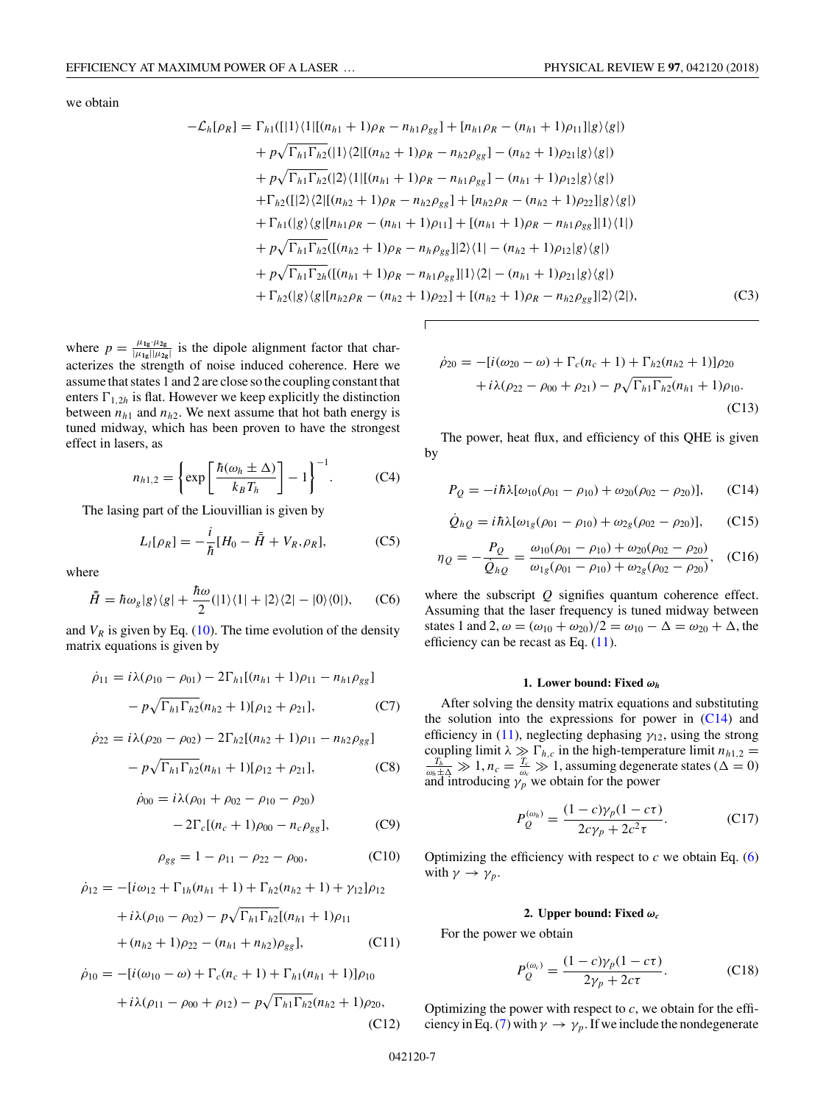<span id="page-6-0"></span>we obtain

$$
-\mathcal{L}_{h}[\rho_{R}] = \Gamma_{h1}([[1)\langle 1][(n_{h1} + 1)\rho_{R} - n_{h1}\rho_{gg}] + [n_{h1}\rho_{R} - (n_{h1} + 1)\rho_{11}][g\rangle\langle g|)
$$
  
+  $p\sqrt{\Gamma_{h1}\Gamma_{h2}}([1)\langle 2][(n_{h2} + 1)\rho_{R} - n_{h2}\rho_{gg}] - (n_{h2} + 1)\rho_{21}|g\rangle\langle g|)$   
+  $p\sqrt{\Gamma_{h1}\Gamma_{h2}}([2)\langle 1][(n_{h1} + 1)\rho_{R} - n_{h1}\rho_{gg}] - (n_{h1} + 1)\rho_{12}|g\rangle\langle g|)$   
+  $\Gamma_{h2}([2)\langle 2][(n_{h2} + 1)\rho_{R} - n_{h2}\rho_{gg}] + [n_{h2}\rho_{R} - (n_{h2} + 1)\rho_{22}]|g\rangle\langle g|)$   
+  $\Gamma_{h1}([g)\langle g|[n_{h1}\rho_{R} - (n_{h1} + 1)\rho_{11}] + [(n_{h1} + 1)\rho_{R} - n_{h1}\rho_{gg}]|1\rangle\langle 1|)$   
+  $p\sqrt{\Gamma_{h1}\Gamma_{h2}}([n_{h2} + 1)\rho_{R} - n_{h}\rho_{gg}]|2\rangle\langle 1| - (n_{h2} + 1)\rho_{12}|g\rangle\langle g|)$   
+  $p\sqrt{\Gamma_{h1}\Gamma_{2h}}([n_{h1} + 1)\rho_{R} - n_{h1}\rho_{gg}]|1\rangle\langle 2| - (n_{h1} + 1)\rho_{21}|g\rangle\langle g|)$   
+  $\Gamma_{h2}([g)\langle g|[n_{h2}\rho_{R} - (n_{h2} + 1)\rho_{22}] + [(n_{h2} + 1)\rho_{R} - n_{h2}\rho_{gg}]|2\rangle\langle 2|),$  (C3)

where  $p = \frac{\mu_{1g} \cdot \mu_{2g}}{|\mu_{1g}||\mu_{2g}|}$  is the dipole alignment factor that characterizes the strength of noise induced coherence. Here we assume that states 1 and 2 are close so the coupling constant that enters  $\Gamma_{1,2h}$  is flat. However we keep explicitly the distinction between  $n_{h1}$  and  $n_{h2}$ . We next assume that hot bath energy is tuned midway, which has been proven to have the strongest effect in lasers, as

$$
n_{h1,2} = \left\{ \exp\left[\frac{\hbar(\omega_h \pm \Delta)}{k_B T_h}\right] - 1 \right\}^{-1}.
$$
 (C4)

The lasing part of the Liouvillian is given by

$$
L_l[\rho_R] = -\frac{i}{\hbar} [H_0 - \bar{H} + V_R, \rho_R],
$$
 (C5)

where

$$
\bar{\bar{H}} = \hbar \omega_g |g\rangle\langle g| + \frac{\hbar \omega}{2} (|1\rangle\langle 1| + |2\rangle\langle 2| - |0\rangle\langle 0|), \quad (C6)
$$

and  $V_R$  is given by Eq. [\(10\)](#page-2-0). The time evolution of the density matrix equations is given by

$$
\dot{\rho}_{11} = i\lambda(\rho_{10} - \rho_{01}) - 2\Gamma_{h1}[(n_{h1} + 1)\rho_{11} - n_{h1}\rho_{gg}]
$$

$$
- p\sqrt{\Gamma_{h1}\Gamma_{h2}}(n_{h2} + 1)[\rho_{12} + \rho_{21}], \qquad (C7)
$$

$$
\dot{\rho}_{22} = i\lambda(\rho_{20} - \rho_{02}) - 2\Gamma_{h2}[(n_{h2} + 1)\rho_{11} - n_{h2}\rho_{gg}] - p\sqrt{\Gamma_{h1}\Gamma_{h2}}(n_{h1} + 1)[\rho_{12} + \rho_{21}],
$$
 (C8)

$$
\dot{\rho}_{00} = i\lambda(\rho_{01} + \rho_{02} - \rho_{10} - \rho_{20})
$$

$$
-2\Gamma_c[(n_c+1)\rho_{00} - n_c\rho_{gg}], \qquad (C9)
$$

$$
\rho_{gg} = 1 - \rho_{11} - \rho_{22} - \rho_{00}, \qquad (C10)
$$

$$
\dot{\rho}_{12} = -[i\omega_{12} + \Gamma_{1h}(n_{h1} + 1) + \Gamma_{h2}(n_{h2} + 1) + \gamma_{12}]\rho_{12}
$$

$$
+ i\lambda(\rho_{10} - \rho_{02}) - p\sqrt{\Gamma_{h1}\Gamma_{h2}}[(n_{h1} + 1)\rho_{11}
$$

$$
+ (n_{h2} + 1)\rho_{22} - (n_{h1} + n_{h2})\rho_{gg}], \qquad (C11)
$$

$$
\dot{\rho}_{10} = -[i(\omega_{10} - \omega) + \Gamma_c(n_c + 1) + \Gamma_{h1}(n_{h1} + 1)]\rho_{10}
$$

$$
+ i\lambda(\rho_{11} - \rho_{00} + \rho_{12}) - p\sqrt{\Gamma_{h1}\Gamma_{h2}}(n_{h2} + 1)\rho_{20},
$$
(C12)

$$
\dot{\rho}_{20} = -[i(\omega_{20} - \omega) + \Gamma_c(n_c + 1) + \Gamma_{h2}(n_{h2} + 1)]\rho_{20}
$$

$$
+ i\lambda(\rho_{22} - \rho_{00} + \rho_{21}) - p\sqrt{\Gamma_{h1}\Gamma_{h2}}(n_{h1} + 1)\rho_{10}.
$$
(C13)

The power, heat flux, and efficiency of this QHE is given by

$$
P_Q = -i\hbar\lambda[\omega_{10}(\rho_{01} - \rho_{10}) + \omega_{20}(\rho_{02} - \rho_{20})], \quad (C14)
$$

$$
\dot{Q}_{hQ} = i\hbar\lambda[\omega_{1g}(\rho_{01} - \rho_{10}) + \omega_{2g}(\rho_{02} - \rho_{20})], \quad (C15)
$$

$$
\eta_Q = -\frac{P_Q}{\dot{Q}_{hQ}} = \frac{\omega_{10}(\rho_{01} - \rho_{10}) + \omega_{20}(\rho_{02} - \rho_{20})}{\omega_{1g}(\rho_{01} - \rho_{10}) + \omega_{2g}(\rho_{02} - \rho_{20})}, \quad (C16)
$$

where the subscript *Q* signifies quantum coherence effect. Assuming that the laser frequency is tuned midway between states 1 and 2,  $\omega = (\omega_{10} + \omega_{20})/2 = \omega_{10} - \Delta = \omega_{20} + \Delta$ , the efficiency can be recast as Eq. [\(11\)](#page-2-0).

# **1. Lower bound: Fixed** *ω<sup>h</sup>*

After solving the density matrix equations and substituting the solution into the expressions for power in  $(C14)$  and efficiency in [\(11\)](#page-2-0), neglecting dephasing  $\gamma_{12}$ , using the strong coupling limit  $\lambda \gg \Gamma_{h,c}$  in the high-temperature limit  $n_{h1,2} = \frac{T_h}{\lambda} \gg 1$  *n* =  $\frac{T_c}{\lambda} \gg 1$  assuming degenerate states ( $\Delta = 0$ )  $\frac{T_h}{\omega_h \pm 1}$   $\gg 1$ ,  $n_c = \frac{T_c}{\omega_c} \gg 1$ , assuming degenerate states ( $\Delta = 0$ ) and introducing  $\gamma_p$  we obtain for the power

$$
P_Q^{(\omega_h)} = \frac{(1 - c)\gamma_p (1 - c\tau)}{2c\gamma_p + 2c^2\tau}.
$$
 (C17)

Optimizing the efficiency with respect to  $c$  we obtain Eq.  $(6)$ with  $\gamma \rightarrow \gamma_p$ .

# **2. Upper bound: Fixed**  $\omega_c$

For the power we obtain

$$
P_Q^{(\omega_c)} = \frac{(1-c)\gamma_p(1-c\tau)}{2\gamma_p + 2c\tau}.
$$
 (C18)

Optimizing the power with respect to *c*, we obtain for the effi-ciency in Eq. [\(7\)](#page-1-0) with  $\gamma \to \gamma_p$ . If we include the nondegenerate